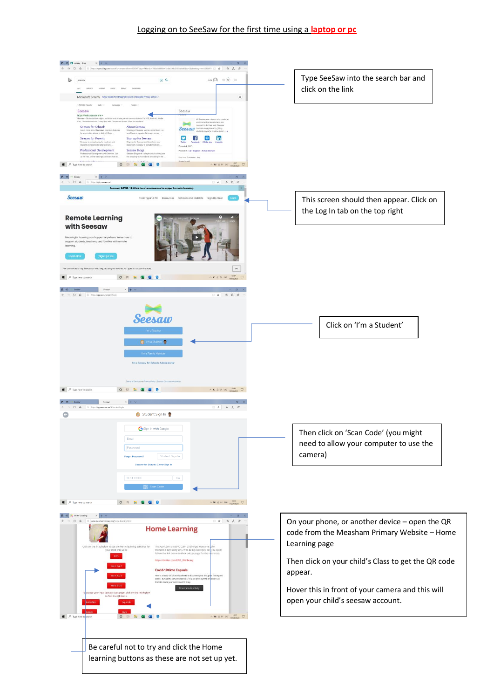## Logging on to SeeSaw for the first time using a **laptop or pc**